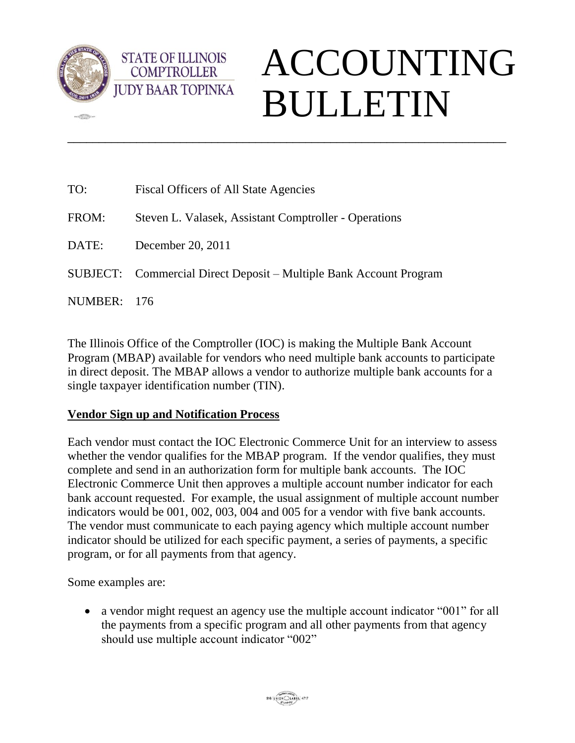

**CERN** 

## ACCOUNTING BULLETIN

| TO:         | Fiscal Officers of All State Agencies                              |
|-------------|--------------------------------------------------------------------|
| FROM:       | Steven L. Valasek, Assistant Comptroller - Operations              |
| DATE:       | December 20, 2011                                                  |
|             | SUBJECT: Commercial Direct Deposit – Multiple Bank Account Program |
| NUMBER: 176 |                                                                    |

\_\_\_\_\_\_\_\_\_\_\_\_\_\_\_\_\_\_\_\_\_\_\_\_\_\_\_\_\_\_\_\_\_\_\_\_\_\_\_\_\_\_\_\_\_\_\_\_\_\_\_\_\_\_\_\_\_\_\_\_\_\_\_\_\_\_\_\_\_\_

The Illinois Office of the Comptroller (IOC) is making the Multiple Bank Account Program (MBAP) available for vendors who need multiple bank accounts to participate in direct deposit. The MBAP allows a vendor to authorize multiple bank accounts for a single taxpayer identification number (TIN).

## **Vendor Sign up and Notification Process**

**STATE OF ILLINOIS COMPTROLLER** 

Each vendor must contact the IOC Electronic Commerce Unit for an interview to assess whether the vendor qualifies for the MBAP program. If the vendor qualifies, they must complete and send in an authorization form for multiple bank accounts. The IOC Electronic Commerce Unit then approves a multiple account number indicator for each bank account requested. For example, the usual assignment of multiple account number indicators would be 001, 002, 003, 004 and 005 for a vendor with five bank accounts. The vendor must communicate to each paying agency which multiple account number indicator should be utilized for each specific payment, a series of payments, a specific program, or for all payments from that agency.

Some examples are:

• a vendor might request an agency use the multiple account indicator "001" for all the payments from a specific program and all other payments from that agency should use multiple account indicator "002"